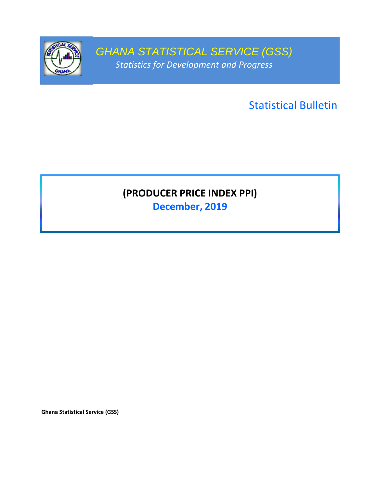

GHANA STATISTICAL SERVICE (GSS) Statistics for Development and Progress

Statistical Bulletin

# (PRODUCER PRICE INDEX PPI)

December, 2019

Ghana Statistical Service (GSS)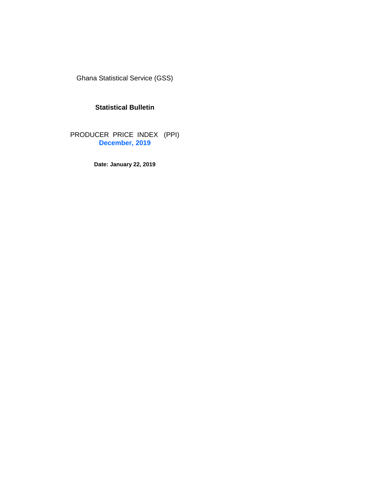Ghana Statistical Service (GSS)

# **Statistical Bulletin**

PRODUCER PRICE INDEX (PPI) **December, 2019**

**Date: January 22, 2019**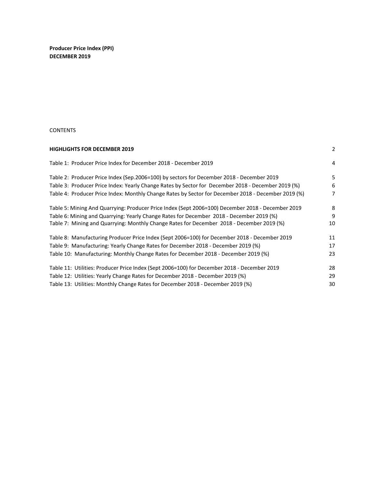Producer Price Index (PPI) DECEMBER 2019

#### **CONTENTS**

| 2  |
|----|
| 4  |
| 5  |
| 6  |
| 7  |
| 8  |
| 9  |
| 10 |
| 11 |
| 17 |
| 23 |
| 28 |
| 29 |
| 30 |
|    |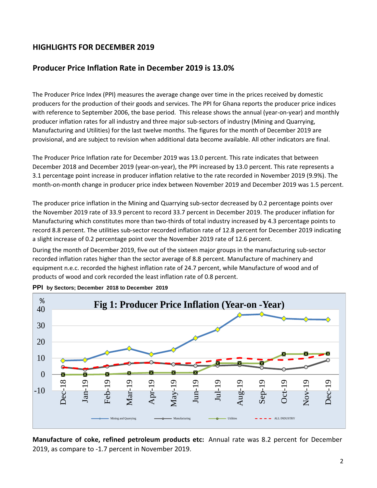# HIGHLIGHTS FOR DECEMBER 2019

# Producer Price Inflation Rate in December 2019 is 13.0%

The Producer Price Index (PPI) measures the average change over time in the prices received by domestic producers for the production of their goods and services. The PPI for Ghana reports the producer price indices with reference to September 2006, the base period. This release shows the annual (year-on-year) and monthly producer inflation rates for all industry and three major sub-sectors of industry (Mining and Quarrying, Manufacturing and Utilities) for the last twelve months. The figures for the month of December 2019 are provisional, and are subject to revision when additional data become available. All other indicators are final.

The Producer Price Inflation rate for December 2019 was 13.0 percent. This rate indicates that between December 2018 and December 2019 (year-on-year), the PPI increased by 13.0 percent. This rate represents a 3.1 percentage point increase in producer inflation relative to the rate recorded in November 2019 (9.9%). The month-on-month change in producer price index between November 2019 and December 2019 was 1.5 percent.

The producer price inflation in the Mining and Quarrying sub-sector decreased by 0.2 percentage points over the November 2019 rate of 33.9 percent to record 33.7 percent in December 2019. The producer inflation for Manufacturing which constitutes more than two-thirds of total industry increased by 4.3 percentage points to record 8.8 percent. The utilities sub-sector recorded inflation rate of 12.8 percent for December 2019 indicating a slight increase of 0.2 percentage point over the November 2019 rate of 12.6 percent.

During the month of December 2019, five out of the sixteen major groups in the manufacturing sub-sector recorded inflation rates higher than the sector average of 8.8 percent. Manufacture of machinery and equipment n.e.c. recorded the highest inflation rate of 24.7 percent, while Manufacture of wood and of products of wood and cork recorded the least inflation rate of 0.8 percent.



**PPI by Sectors; December 2018 to December 2019**

Manufacture of coke, refined petroleum products etc: Annual rate was 8.2 percent for December 2019, as compare to -1.7 percent in November 2019.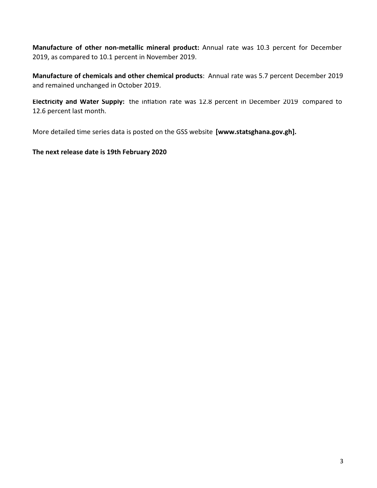Manufacture of other non-metallic mineral product: Annual rate was 10.3 percent for December 2019, as compared to 10.1 percent in November 2019.

Manufacture of chemicals and other chemical products: Annual rate was 5.7 percent December 2019 and remained unchanged in October 2019.

Electricity and Water Supply: the inflation rate was 12.8 percent in December 2019 compared to 12.6 percent last month.

More detailed time series data is posted on the GSS website [www.statsghana.gov.gh].

The next release date is 19th February 2020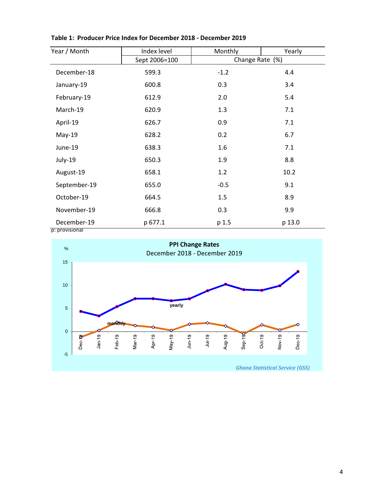| Sept 2006=100<br>599.3 | Change Rate (%) |        |
|------------------------|-----------------|--------|
|                        |                 |        |
|                        | $-1.2$          | 4.4    |
| 600.8                  | 0.3             | 3.4    |
| 612.9                  | 2.0             | 5.4    |
| 620.9                  | 1.3             | 7.1    |
| 626.7                  | 0.9             | 7.1    |
| 628.2                  | 0.2             | 6.7    |
| 638.3                  | 1.6             | 7.1    |
| 650.3                  | 1.9             | 8.8    |
| 658.1                  | 1.2             | 10.2   |
| 655.0                  | $-0.5$          | 9.1    |
| 664.5                  | 1.5             | 8.9    |
| 666.8                  | 0.3             | 9.9    |
| p 677.1                | p 1.5           | p 13.0 |
|                        |                 |        |



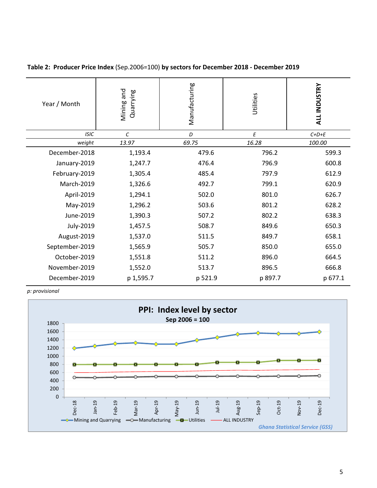| Year / Month   | Mining and<br>Quarrying | Manufacturing  | Utilities | <b>ALL INDUSTRY</b> |
|----------------|-------------------------|----------------|-----------|---------------------|
| <b>ISIC</b>    | C                       | D              | E         | $C+D+E$             |
| weight         | 13.97                   | 69.75          | 16.28     | 100.00              |
| December-2018  | 1,193.4                 | 479.6          | 796.2     | 599.3               |
| January-2019   | 1,247.7                 | 476.4          | 796.9     | 600.8               |
| February-2019  | 1,305.4                 | 485.4<br>797.9 |           | 612.9               |
| March-2019     | 1,326.6                 | 492.7          | 799.1     | 620.9               |
| April-2019     | 1,294.1                 | 502.0          | 801.0     | 626.7               |
| May-2019       | 1,296.2                 | 503.6          | 801.2     | 628.2               |
| June-2019      | 1,390.3                 | 507.2          | 802.2     | 638.3               |
| July-2019      | 1,457.5                 | 508.7          | 849.6     | 650.3               |
| August-2019    | 1,537.0                 | 511.5          | 849.7     | 658.1               |
| September-2019 | 1,565.9                 | 505.7          | 850.0     | 655.0               |
| October-2019   | 1,551.8                 | 511.2          | 896.0     | 664.5               |
| November-2019  | 1,552.0                 | 513.7          | 896.5     | 666.8               |
| December-2019  | p 1,595.7               | p 521.9        | p 897.7   | p 677.1             |

Table 2: Producer Price Index (Sep.2006=100) by sectors for December 2018 - December 2019

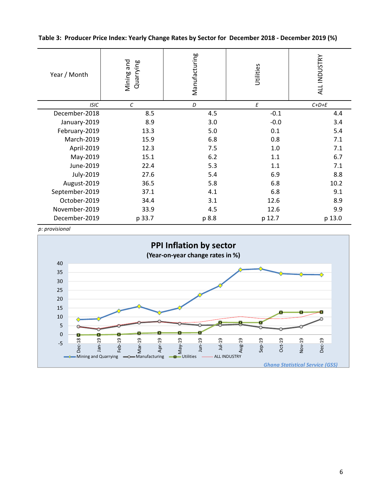Table 3: Producer Price Index: Yearly Change Rates by Sector for December 2018 - December 2019 (%)

| Year / Month   | pue<br>Quarrying<br>Mining | Manufacturing | Utilities | ALL INDUSTRY |
|----------------|----------------------------|---------------|-----------|--------------|
| <b>ISIC</b>    | $\mathcal{C}$              | D             | E         | $C+D+E$      |
| December-2018  | 8.5                        | 4.5           | $-0.1$    | 4.4          |
| January-2019   | 8.9                        | 3.0           | $-0.0$    | 3.4          |
| February-2019  | 13.3                       | 5.0           | 0.1       | 5.4          |
| March-2019     | 15.9                       | 6.8           | 0.8       | 7.1          |
| April-2019     | 12.3                       | 7.5           | 1.0       | 7.1          |
| May-2019       | 15.1                       | 6.2           | 1.1       | 6.7          |
| June-2019      | 22.4                       | 5.3           | 1.1       | 7.1          |
| July-2019      | 27.6                       | 5.4           | 6.9       | 8.8          |
| August-2019    | 36.5                       | 5.8           | 6.8       | 10.2         |
| September-2019 | 37.1                       | 4.1           | 6.8       | 9.1          |
| October-2019   | 34.4                       | 3.1           | 12.6      | 8.9          |
| November-2019  | 33.9                       | 4.5           | 12.6      | 9.9          |
| December-2019  | p 33.7                     | p 8.8         | p 12.7    | p 13.0       |

p: provisional

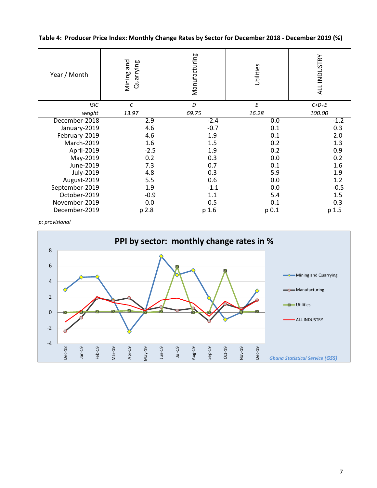Table 4: Producer Price Index: Monthly Change Rates by Sector for December 2018 - December 2019 (%)

| Year / Month   | Mining and<br>Quarrying | Manufacturing | Utilities | ALL INDUSTRY |  |
|----------------|-------------------------|---------------|-----------|--------------|--|
| <b>ISIC</b>    | $\epsilon$              | D             | Е         | $C+D+E$      |  |
| weight         | 13.97                   | 69.75         | 16.28     | 100.00       |  |
| December-2018  | 2.9                     | $-2.4$        | 0.0       | $-1.2$       |  |
| January-2019   | 4.6                     | $-0.7$        | 0.1       | 0.3          |  |
| February-2019  | 4.6                     | 1.9           | 0.1       | 2.0          |  |
| March-2019     | 1.6                     | 1.5           | 0.2       | 1.3          |  |
| April-2019     | $-2.5$                  | 1.9           | 0.2       | 0.9          |  |
| May-2019       | 0.2                     | 0.3           | 0.0       | 0.2          |  |
| June-2019      | 7.3                     | 0.7           | 0.1       | 1.6          |  |
| July-2019      | 4.8                     | 0.3           | 5.9       | 1.9          |  |
| August-2019    | 5.5                     | 0.6           | 0.0       | 1.2          |  |
| September-2019 | 1.9                     | $-1.1$        | 0.0       | $-0.5$       |  |
| October-2019   | $-0.9$                  | 1.1           | 5.4       | 1.5          |  |
| November-2019  | 0.0                     | 0.5           | 0.1       | 0.3          |  |
| December-2019  | p 2.8                   | p 1.6         | p 0.1     | p 1.5        |  |

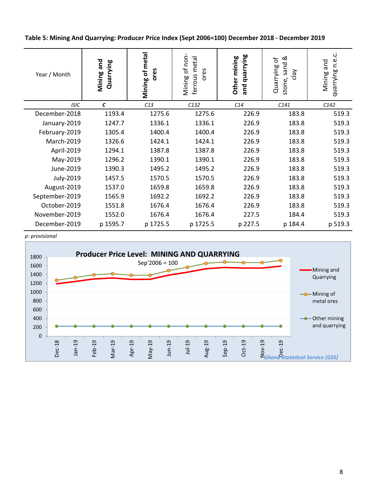Table 5: Mining And Quarrying: Producer Price Index (Sept 2006=100) December 2018 - December 2019

| Year / Month   | Mining and<br>Quarrying | Mining of metal<br>ores | of non<br>ferrous metal<br>ores<br>Mining | quarrying<br>Other mining<br>and | ∞<br>Quarrying of<br>sand<br>$\sqrt{e}$<br>stone, | ڹ<br>نه<br>C<br>and<br>duarrying<br>Mining |
|----------------|-------------------------|-------------------------|-------------------------------------------|----------------------------------|---------------------------------------------------|--------------------------------------------|
| <b>ISIC</b>    | $\mathbf c$             | C13                     | C132                                      | C14                              | C141                                              | C142                                       |
| December-2018  | 1193.4                  | 1275.6                  | 1275.6                                    | 226.9                            | 183.8                                             | 519.3                                      |
| January-2019   | 1247.7                  | 1336.1                  | 1336.1                                    | 226.9                            | 183.8                                             | 519.3                                      |
| February-2019  | 1305.4                  | 1400.4                  | 1400.4                                    | 226.9                            | 183.8                                             | 519.3                                      |
| March-2019     | 1326.6                  | 1424.1                  | 1424.1                                    | 226.9                            | 183.8                                             | 519.3                                      |
| April-2019     | 1294.1                  | 1387.8                  | 1387.8                                    | 226.9                            | 183.8                                             | 519.3                                      |
| May-2019       | 1296.2                  | 1390.1                  | 1390.1                                    | 226.9                            | 183.8                                             | 519.3                                      |
| June-2019      | 1390.3                  | 1495.2                  | 1495.2                                    | 226.9                            | 183.8                                             | 519.3                                      |
| July-2019      | 1457.5                  | 1570.5                  | 1570.5                                    | 226.9                            | 183.8                                             | 519.3                                      |
| August-2019    | 1537.0                  | 1659.8                  | 1659.8                                    | 226.9                            | 183.8                                             | 519.3                                      |
| September-2019 | 1565.9                  | 1692.2                  | 1692.2                                    | 226.9                            | 183.8                                             | 519.3                                      |
| October-2019   | 1551.8                  | 1676.4                  | 1676.4                                    | 226.9                            | 183.8                                             | 519.3                                      |
| November-2019  | 1552.0                  | 1676.4                  | 1676.4                                    | 227.5                            | 184.4                                             | 519.3                                      |
| December-2019  | p 1595.7                | p 1725.5                | p 1725.5                                  | p 227.5                          | p 184.4                                           | p 519.3                                    |

p: provisional

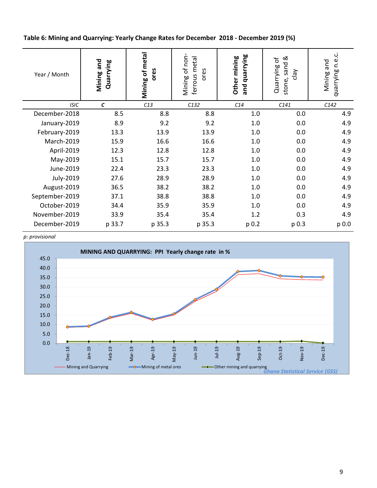Table 6: Mining and Quarrying: Yearly Change Rates for December 2018 - December 2019 (%)

| Year / Month   | Mining and<br>Quarrying | Mining of metal<br>ores | Mining of non<br>ferrous metal<br>ores | and quarrying<br>Other mining | ಹ<br>Quarrying of<br>sand<br>$\sqrt{e}$<br>stone, | ڹ<br>quarrying n.e<br>Mining and |
|----------------|-------------------------|-------------------------|----------------------------------------|-------------------------------|---------------------------------------------------|----------------------------------|
| <b>ISIC</b>    | C                       | C13                     | C132                                   | C14                           | C141                                              | C142                             |
| December-2018  | 8.5                     | 8.8                     | 8.8                                    | 1.0                           | 0.0                                               | 4.9                              |
| January-2019   | 8.9                     | 9.2                     | 9.2                                    | 1.0                           | 0.0                                               | 4.9                              |
| February-2019  | 13.3                    | 13.9                    | 13.9                                   | 1.0                           | 0.0                                               | 4.9                              |
| March-2019     | 15.9                    | 16.6                    | 16.6                                   | 1.0                           | 0.0                                               | 4.9                              |
| April-2019     | 12.3                    | 12.8                    | 12.8                                   | 1.0                           | 0.0                                               | 4.9                              |
| May-2019       | 15.1                    | 15.7                    | 15.7                                   | 1.0                           | 0.0                                               | 4.9                              |
| June-2019      | 22.4                    | 23.3                    | 23.3                                   | 1.0                           | 0.0                                               | 4.9                              |
| July-2019      | 27.6                    | 28.9                    | 28.9                                   | 1.0                           | 0.0                                               | 4.9                              |
| August-2019    | 36.5                    | 38.2                    | 38.2                                   | 1.0                           | 0.0                                               | 4.9                              |
| September-2019 | 37.1                    | 38.8                    | 38.8                                   | 1.0                           | 0.0                                               | 4.9                              |
| October-2019   | 34.4                    | 35.9                    | 35.9                                   | 1.0                           | 0.0                                               | 4.9                              |
| November-2019  | 33.9                    | 35.4                    | 35.4                                   | 1.2                           | 0.3                                               | 4.9                              |
| December-2019  | p 33.7                  | p 35.3                  | p 35.3                                 | p 0.2                         | p 0.3                                             | p 0.0                            |

p: provisional

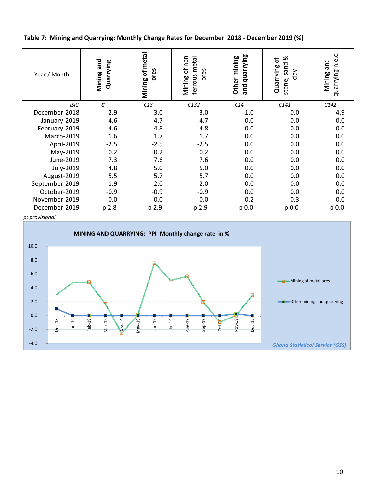Table 7: Mining and Quarrying: Monthly Change Rates for December 2018 - December 2019 (%)

| Year / Month   | Mining and<br>Quarrying | Mining of metal<br>ores | of non<br>metal<br>ores<br>ferrous<br>Mining | and quarrying<br>Other mining | જ<br>Quarrying of<br>sand<br>$\sqrt{e}$<br>stone, | n.e.c.<br>and<br>duarrying<br>Mining |
|----------------|-------------------------|-------------------------|----------------------------------------------|-------------------------------|---------------------------------------------------|--------------------------------------|
| <b>ISIC</b>    | $\epsilon$              | C13                     | C132                                         | C14                           | C141                                              | C142                                 |
| December-2018  | 2.9                     | 3.0                     | 3.0                                          | 1.0                           | 0.0                                               | 4.9                                  |
| January-2019   | 4.6                     | 4.7                     | 4.7                                          | 0.0                           | 0.0                                               | 0.0                                  |
| February-2019  | 4.6                     | 4.8                     | 4.8                                          | 0.0                           | 0.0                                               | 0.0                                  |
| March-2019     | 1.6                     | 1.7                     | 1.7                                          | 0.0                           | 0.0                                               | 0.0                                  |
| April-2019     | $-2.5$                  | $-2.5$                  | $-2.5$                                       | 0.0                           | 0.0                                               | 0.0                                  |
| May-2019       | 0.2                     | 0.2                     | 0.2                                          | 0.0                           | 0.0                                               | 0.0                                  |
| June-2019      | 7.3                     | 7.6                     | 7.6                                          | 0.0                           | 0.0                                               | 0.0                                  |
| July-2019      | 4.8                     | 5.0                     | 5.0                                          | 0.0                           | 0.0                                               | 0.0                                  |
| August-2019    | 5.5                     | 5.7                     | 5.7                                          | 0.0                           | 0.0                                               | 0.0                                  |
| September-2019 | 1.9                     | 2.0                     | 2.0                                          | 0.0                           | 0.0                                               | 0.0                                  |
| October-2019   | $-0.9$                  | $-0.9$                  | $-0.9$                                       | 0.0                           | 0.0                                               | 0.0                                  |
| November-2019  | 0.0                     | 0.0                     | 0.0                                          | 0.2                           | 0.3                                               | 0.0                                  |
| December-2019  | p 2.8                   | p 2.9                   | p 2.9                                        | $p_{0.0}$                     | p 0.0                                             | p 0.0                                |

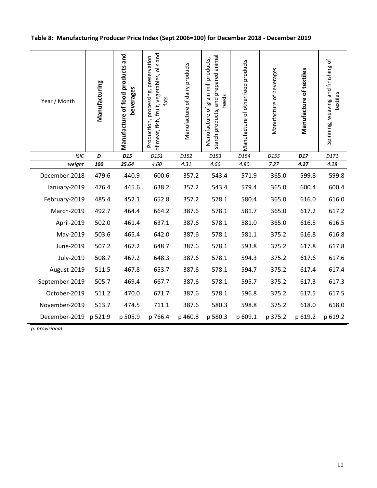| Year / Month          | Manufacturing | Manufacture of food products and<br>beverages | of meat, fish, fruit, vegetables, oils and<br>Production, processing, preservation<br>fats | Manufacture of dairy products | starch products, and prepared animal<br>Manufacture of grain mill products,<br>feeds | Manufacture of other food products | Manufacture of beverages | Manufacture of textiles | Spinning, weaving and finishing of<br>textiles |
|-----------------------|---------------|-----------------------------------------------|--------------------------------------------------------------------------------------------|-------------------------------|--------------------------------------------------------------------------------------|------------------------------------|--------------------------|-------------------------|------------------------------------------------|
| <b>ISIC</b>           | D             | D <sub>15</sub>                               | D151                                                                                       | D152                          | D153                                                                                 | D154                               | D155                     | D17                     | D171                                           |
| weight                | 100           | 25.64                                         | 4.60                                                                                       | 4.31                          | 4.66                                                                                 | 4.80                               | 7.27                     | 4.27                    | 4.28                                           |
| December-2018         | 479.6         | 440.9                                         | 600.6                                                                                      | 357.2                         | 543.4                                                                                | 571.9                              | 365.0                    | 599.8                   | 599.8                                          |
| January-2019          | 476.4         | 445.6                                         | 638.2                                                                                      | 357.2                         | 543.4                                                                                | 579.4                              | 365.0                    | 600.4                   | 600.4                                          |
| February-2019         | 485.4         | 452.1                                         | 652.8                                                                                      | 357.2                         | 578.1                                                                                | 580.4                              | 365.0                    | 616.0                   | 616.0                                          |
| March-2019            | 492.7         | 464.4                                         | 664.2                                                                                      | 387.6                         | 578.1                                                                                | 581.7                              | 365.0                    | 617.2                   | 617.2                                          |
| April-2019            | 502.0         | 461.4                                         | 637.1                                                                                      | 387.6                         | 578.1                                                                                | 581.0                              | 365.0                    | 616.5                   | 616.5                                          |
| May-2019              | 503.6         | 465.4                                         | 642.0                                                                                      | 387.6                         | 578.1                                                                                | 581.1                              | 375.2                    | 616.8                   | 616.8                                          |
| June-2019             | 507.2         | 467.2                                         | 648.7                                                                                      | 387.6                         | 578.1                                                                                | 593.8                              | 375.2                    | 617.8                   | 617.8                                          |
| July-2019             | 508.7         | 467.2                                         | 648.3                                                                                      | 387.6                         | 578.1                                                                                | 594.3                              | 375.2                    | 617.6                   | 617.6                                          |
| August-2019           | 511.5         | 467.8                                         | 653.7                                                                                      | 387.6                         | 578.1                                                                                | 594.7                              | 375.2                    | 617.4                   | 617.4                                          |
| September-2019        | 505.7         | 469.4                                         | 667.7                                                                                      | 387.6                         | 578.1                                                                                | 595.7                              | 375.2                    | 617.3                   | 617.3                                          |
| October-2019          | 511.2         | 470.0                                         | 671.7                                                                                      | 387.6                         | 578.1                                                                                | 596.8                              | 375.2                    | 617.5                   | 617.5                                          |
| November-2019         | 513.7         | 474.5                                         | 711.1                                                                                      | 387.6                         | 580.3                                                                                | 598.8                              | 375.2                    | 618.0                   | 618.0                                          |
| December-2019 p 521.9 |               | p 505.9                                       | p 766.4                                                                                    | p 460.8                       | p 580.3                                                                              | p 609.1                            | p 375.2                  | p 619.2                 | p 619.2                                        |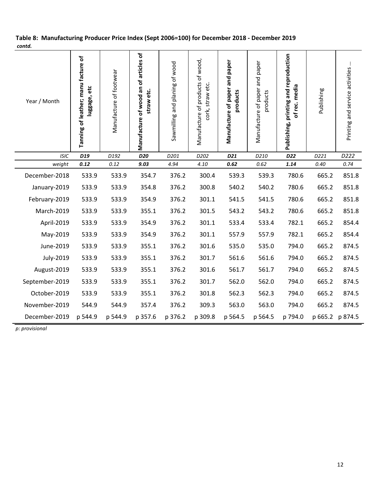| Year / Month   | Tanning of leather; manu facture of<br>luggage, etc | Manufacture of footwear | Manufacture of wood an of articles of<br>straw etc. | Sawmilling and planing of wood | Manufacture of products of wood,<br>cork, straw etc. | Manufacture of paper and paper<br>products | Manufacture of paper and paper<br>products | Publishing, printing and reproduction<br>of rec. media | Publishing | Printing and service activities |
|----------------|-----------------------------------------------------|-------------------------|-----------------------------------------------------|--------------------------------|------------------------------------------------------|--------------------------------------------|--------------------------------------------|--------------------------------------------------------|------------|---------------------------------|
| <b>ISIC</b>    | D <sub>19</sub>                                     | D192                    | D20                                                 | D201                           | D202                                                 | D21                                        | D210                                       | D22                                                    | D221       | D222                            |
| weight         | 0.12                                                | 0.12                    | 9.03                                                | 4.94                           | 4.10                                                 | 0.62                                       | 0.62                                       | 1.14                                                   | 0.40       | 0.74                            |
| December-2018  | 533.9                                               | 533.9                   | 354.7                                               | 376.2                          | 300.4                                                | 539.3                                      | 539.3                                      | 780.6                                                  | 665.2      | 851.8                           |
| January-2019   | 533.9                                               | 533.9                   | 354.8                                               | 376.2                          | 300.8                                                | 540.2                                      | 540.2                                      | 780.6                                                  | 665.2      | 851.8                           |
| February-2019  | 533.9                                               | 533.9                   | 354.9                                               | 376.2                          | 301.1                                                | 541.5                                      | 541.5                                      | 780.6                                                  | 665.2      | 851.8                           |
| March-2019     | 533.9                                               | 533.9                   | 355.1                                               | 376.2                          | 301.5                                                | 543.2                                      | 543.2                                      | 780.6                                                  | 665.2      | 851.8                           |
| April-2019     | 533.9                                               | 533.9                   | 354.9                                               | 376.2                          | 301.1                                                | 533.4                                      | 533.4                                      | 782.1                                                  | 665.2      | 854.4                           |
| May-2019       | 533.9                                               | 533.9                   | 354.9                                               | 376.2                          | 301.1                                                | 557.9                                      | 557.9                                      | 782.1                                                  | 665.2      | 854.4                           |
| June-2019      | 533.9                                               | 533.9                   | 355.1                                               | 376.2                          | 301.6                                                | 535.0                                      | 535.0                                      | 794.0                                                  | 665.2      | 874.5                           |
| July-2019      | 533.9                                               | 533.9                   | 355.1                                               | 376.2                          | 301.7                                                | 561.6                                      | 561.6                                      | 794.0                                                  | 665.2      | 874.5                           |
| August-2019    | 533.9                                               | 533.9                   | 355.1                                               | 376.2                          | 301.6                                                | 561.7                                      | 561.7                                      | 794.0                                                  | 665.2      | 874.5                           |
| September-2019 | 533.9                                               | 533.9                   | 355.1                                               | 376.2                          | 301.7                                                | 562.0                                      | 562.0                                      | 794.0                                                  | 665.2      | 874.5                           |
| October-2019   | 533.9                                               | 533.9                   | 355.1                                               | 376.2                          | 301.8                                                | 562.3                                      | 562.3                                      | 794.0                                                  | 665.2      | 874.5                           |
| November-2019  | 544.9                                               | 544.9                   | 357.4                                               | 376.2                          | 309.3                                                | 563.0                                      | 563.0                                      | 794.0                                                  | 665.2      | 874.5                           |
| December-2019  | p 544.9                                             | p 544.9                 | p 357.6                                             | p 376.2                        | p 309.8                                              | p 564.5                                    | p 564.5                                    | p 794.0                                                |            | p 665.2 p 874.5                 |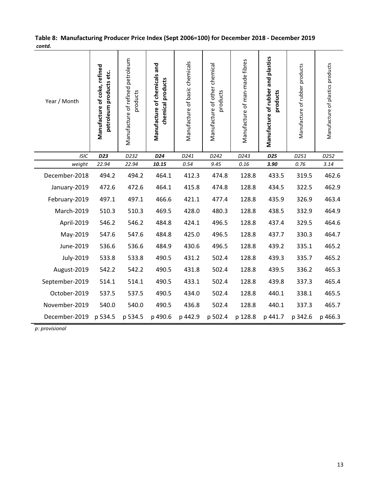| Year / Month   | Manufacture of coke, refined<br>petroleum products etc. | Manufacture of refined petroleum<br>products | Manufacture of chemicals and<br>chemical products | Manufacture of basic chemicals | Manufacture of other chemical<br>products | Manufacture of man-made fibres | Manufacture of rubber and plastics<br>products | Manufacture of rubber products | Manufacture of plastics products |
|----------------|---------------------------------------------------------|----------------------------------------------|---------------------------------------------------|--------------------------------|-------------------------------------------|--------------------------------|------------------------------------------------|--------------------------------|----------------------------------|
| <b>ISIC</b>    | D23                                                     | D232                                         | D24                                               | D241                           | D242                                      | D243                           | D25                                            | D251                           | D252                             |
| weight         | 22.94                                                   | 22.94                                        | 10.15                                             | 0.54                           | 9.45                                      | 0.16                           | 3.90                                           | 0.76                           | 3.14                             |
| December-2018  | 494.2                                                   | 494.2                                        | 464.1                                             | 412.3                          | 474.8                                     | 128.8                          | 433.5                                          | 319.5                          | 462.6                            |
| January-2019   | 472.6                                                   | 472.6                                        | 464.1                                             | 415.8                          | 474.8                                     | 128.8                          | 434.5                                          | 322.5                          | 462.9                            |
| February-2019  | 497.1                                                   | 497.1                                        | 466.6                                             | 421.1                          | 477.4                                     | 128.8                          | 435.9                                          | 326.9                          | 463.4                            |
| March-2019     | 510.3                                                   | 510.3                                        | 469.5                                             | 428.0                          | 480.3                                     | 128.8                          | 438.5                                          | 332.9                          | 464.9                            |
| April-2019     | 546.2                                                   | 546.2                                        | 484.8                                             | 424.1                          | 496.5                                     | 128.8                          | 437.4                                          | 329.5                          | 464.6                            |
| May-2019       | 547.6                                                   | 547.6                                        | 484.8                                             | 425.0                          | 496.5                                     | 128.8                          | 437.7                                          | 330.3                          | 464.7                            |
| June-2019      | 536.6                                                   | 536.6                                        | 484.9                                             | 430.6                          | 496.5                                     | 128.8                          | 439.2                                          | 335.1                          | 465.2                            |
| July-2019      | 533.8                                                   | 533.8                                        | 490.5                                             | 431.2                          | 502.4                                     | 128.8                          | 439.3                                          | 335.7                          | 465.2                            |
| August-2019    | 542.2                                                   | 542.2                                        | 490.5                                             | 431.8                          | 502.4                                     | 128.8                          | 439.5                                          | 336.2                          | 465.3                            |
| September-2019 | 514.1                                                   | 514.1                                        | 490.5                                             | 433.1                          | 502.4                                     | 128.8                          | 439.8                                          | 337.3                          | 465.4                            |
| October-2019   | 537.5                                                   | 537.5                                        | 490.5                                             | 434.0                          | 502.4                                     | 128.8                          | 440.1                                          | 338.1                          | 465.5                            |
| November-2019  | 540.0                                                   | 540.0                                        | 490.5                                             | 436.8                          | 502.4                                     | 128.8                          | 440.1                                          | 337.3                          | 465.7                            |
| December-2019  | p 534.5                                                 | p 534.5                                      | p 490.6                                           | p 442.9                        | p 502.4                                   | p 128.8                        | p 441.7                                        | p 342.6                        | p 466.3                          |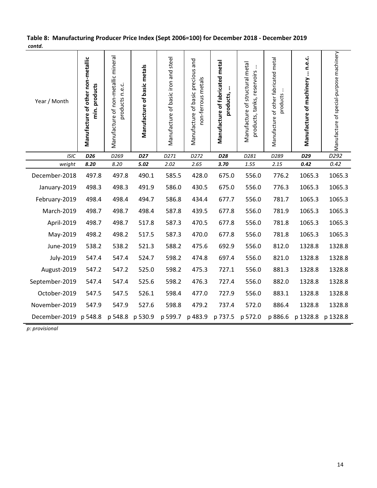| Year / Month          | Manufacture of other non-metallic<br>min. products | Manufacture of non-metallic mineral<br>products n.e.c. | Manufacture of basic metals | Manufacture of basic iron and steel | Manufacture of basic precious and<br>non-ferrous metals | Manufacture of fabricated metal<br>products, | Manufacture of structural metal<br>÷<br>products, tanks, reservoirs | Manufacture of other fabricated metal<br>products | $\therefore$ n.e.c.<br>Manufacture of machinery | Manufacture of special-purpose machinery |
|-----------------------|----------------------------------------------------|--------------------------------------------------------|-----------------------------|-------------------------------------|---------------------------------------------------------|----------------------------------------------|---------------------------------------------------------------------|---------------------------------------------------|-------------------------------------------------|------------------------------------------|
| <b>ISIC</b>           | D <sub>26</sub>                                    | D <sub>269</sub>                                       | <b>D27</b>                  | D271                                | D272                                                    | D28                                          | D281                                                                | D289                                              | D29                                             | D292                                     |
| weight                | 8.20                                               | 8.20                                                   | 5.02                        | 2.02                                | 2.65                                                    | 3.70                                         | 1.55                                                                | 2.15                                              | 0.42                                            | 0.42                                     |
| December-2018         | 497.8                                              | 497.8                                                  | 490.1                       | 585.5                               | 428.0                                                   | 675.0                                        | 556.0                                                               | 776.2                                             | 1065.3                                          | 1065.3                                   |
| January-2019          | 498.3                                              | 498.3                                                  | 491.9                       | 586.0                               | 430.5                                                   | 675.0                                        | 556.0                                                               | 776.3                                             | 1065.3                                          | 1065.3                                   |
| February-2019         | 498.4                                              | 498.4                                                  | 494.7                       | 586.8                               | 434.4                                                   | 677.7                                        | 556.0                                                               | 781.7                                             | 1065.3                                          | 1065.3                                   |
| March-2019            | 498.7                                              | 498.7                                                  | 498.4                       | 587.8                               | 439.5                                                   | 677.8                                        | 556.0                                                               | 781.9                                             | 1065.3                                          | 1065.3                                   |
| April-2019            | 498.7                                              | 498.7                                                  | 517.8                       | 587.3                               | 470.5                                                   | 677.8                                        | 556.0                                                               | 781.8                                             | 1065.3                                          | 1065.3                                   |
| May-2019              | 498.2                                              | 498.2                                                  | 517.5                       | 587.3                               | 470.0                                                   | 677.8                                        | 556.0                                                               | 781.8                                             | 1065.3                                          | 1065.3                                   |
| June-2019             | 538.2                                              | 538.2                                                  | 521.3                       | 588.2                               | 475.6                                                   | 692.9                                        | 556.0                                                               | 812.0                                             | 1328.8                                          | 1328.8                                   |
| July-2019             | 547.4                                              | 547.4                                                  | 524.7                       | 598.2                               | 474.8                                                   | 697.4                                        | 556.0                                                               | 821.0                                             | 1328.8                                          | 1328.8                                   |
| August-2019           | 547.2                                              | 547.2                                                  | 525.0                       | 598.2                               | 475.3                                                   | 727.1                                        | 556.0                                                               | 881.3                                             | 1328.8                                          | 1328.8                                   |
| September-2019        | 547.4                                              | 547.4                                                  | 525.6                       | 598.2                               | 476.3                                                   | 727.4                                        | 556.0                                                               | 882.0                                             | 1328.8                                          | 1328.8                                   |
| October-2019          | 547.5                                              | 547.5                                                  | 526.1                       | 598.4                               | 477.0                                                   | 727.9                                        | 556.0                                                               | 883.1                                             | 1328.8                                          | 1328.8                                   |
| November-2019         | 547.9                                              | 547.9                                                  | 527.6                       | 598.8                               | 479.2                                                   | 737.4                                        | 572.0                                                               | 886.4                                             | 1328.8                                          | 1328.8                                   |
| December-2019 p 548.8 |                                                    | p 548.8                                                | p 530.9                     | p 599.7                             | p 483.9                                                 | p 737.5                                      | p 572.0                                                             | p 886.6                                           | p 1328.8                                        | p 1328.8                                 |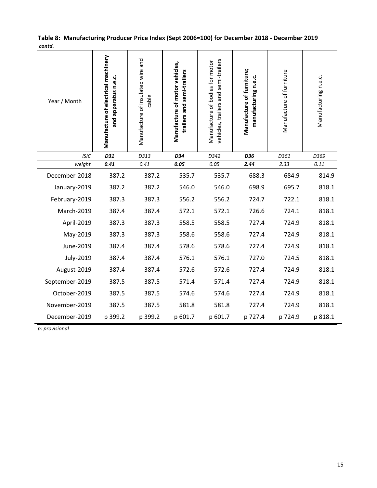| Year / Month   | Manufacture of electrical machinery<br>and apparatus n.e.c. | Manufacture of insulated wire and<br>cable | Manufacture of motor vehicles,<br>trailers and semi-trailers | vehicles, trailers and semi-trailers<br>Manufacture of bodies for motor | Manufacture of furniture;<br>manufacturing n.e.c. | Manufacture of furniture | Manufacturing n.e.c. |
|----------------|-------------------------------------------------------------|--------------------------------------------|--------------------------------------------------------------|-------------------------------------------------------------------------|---------------------------------------------------|--------------------------|----------------------|
| <b>ISIC</b>    | D31                                                         | D313                                       | D34                                                          | D342                                                                    | D36                                               | D361                     | D369                 |
| weight         | 0.41                                                        | 0.41                                       | 0.05                                                         | 0.05                                                                    | 2.44                                              | 2.33                     | 0.11                 |
| December-2018  | 387.2                                                       | 387.2                                      | 535.7                                                        | 535.7                                                                   | 688.3                                             | 684.9                    | 814.9                |
| January-2019   | 387.2                                                       | 387.2                                      | 546.0                                                        | 546.0                                                                   | 698.9                                             | 695.7                    | 818.1                |
| February-2019  | 387.3                                                       | 387.3                                      | 556.2                                                        | 556.2                                                                   | 724.7                                             | 722.1                    | 818.1                |
| March-2019     | 387.4                                                       | 387.4                                      | 572.1                                                        | 572.1                                                                   | 726.6                                             | 724.1                    | 818.1                |
| April-2019     | 387.3                                                       | 387.3                                      | 558.5                                                        | 558.5                                                                   | 727.4                                             | 724.9                    | 818.1                |
| May-2019       | 387.3                                                       | 387.3                                      | 558.6                                                        | 558.6                                                                   | 727.4                                             | 724.9                    | 818.1                |
| June-2019      | 387.4                                                       | 387.4                                      | 578.6                                                        | 578.6                                                                   | 727.4                                             | 724.9                    | 818.1                |
| July-2019      | 387.4                                                       | 387.4                                      | 576.1                                                        | 576.1                                                                   | 727.0                                             | 724.5                    | 818.1                |
| August-2019    | 387.4                                                       | 387.4                                      | 572.6                                                        | 572.6                                                                   | 727.4                                             | 724.9                    | 818.1                |
| September-2019 | 387.5                                                       | 387.5                                      | 571.4                                                        | 571.4                                                                   | 727.4                                             | 724.9                    | 818.1                |
| October-2019   | 387.5                                                       | 387.5                                      | 574.6                                                        | 574.6                                                                   | 727.4                                             | 724.9                    | 818.1                |
| November-2019  | 387.5                                                       | 387.5                                      | 581.8                                                        | 581.8                                                                   | 727.4                                             | 724.9                    | 818.1                |
| December-2019  | p 399.2                                                     | p 399.2                                    | p 601.7                                                      | p 601.7                                                                 | p 727.4                                           | p 724.9                  | p 818.1              |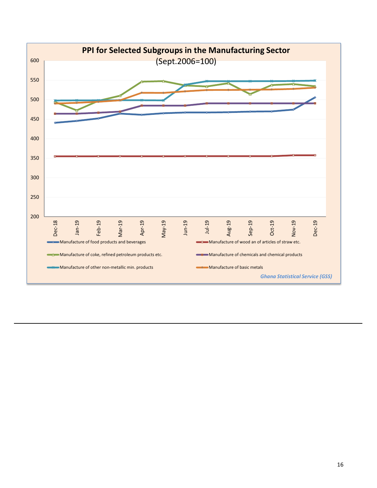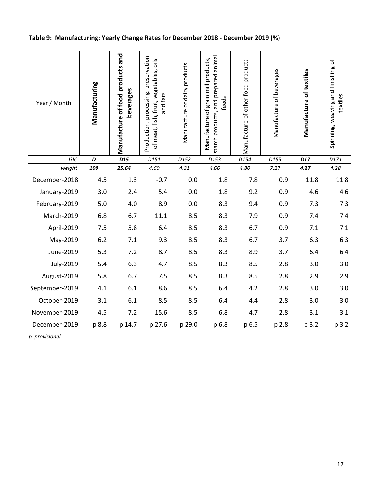# Table 9: Manufacturing: Yearly Change Rates for December 2018 - December 2019 (%)

| Year / Month   | Manufacturing | Manufacture of food products and<br>beverages | Production, processing, preservation<br>of meat, fish, fruit, vegetables, oils<br>and fats | Manufacture of dairy products | starch products, and prepared animal<br>Manufacture of grain mill products,<br>feeds | Manufacture of other food products | Manufacture of beverages | Manufacture of textiles | Spinning, weaving and finishing of<br>textiles |
|----------------|---------------|-----------------------------------------------|--------------------------------------------------------------------------------------------|-------------------------------|--------------------------------------------------------------------------------------|------------------------------------|--------------------------|-------------------------|------------------------------------------------|
| <b>ISIC</b>    | D             | D <sub>15</sub>                               | D151                                                                                       | D152                          | D153                                                                                 | D154                               | D155                     | D17                     | D171                                           |
| weight         | 100           | 25.64                                         | 4.60                                                                                       | 4.31                          | 4.66                                                                                 | 4.80                               | 7.27                     | 4.27                    | 4.28                                           |
| December-2018  | 4.5           | 1.3                                           | $-0.7$                                                                                     | 0.0                           | 1.8                                                                                  | 7.8                                | 0.9                      | 11.8                    | 11.8                                           |
| January-2019   | 3.0           | 2.4                                           | 5.4                                                                                        | 0.0                           | 1.8                                                                                  | 9.2                                | 0.9                      | 4.6                     | 4.6                                            |
| February-2019  | 5.0           | 4.0                                           | 8.9                                                                                        | 0.0                           | 8.3                                                                                  | 9.4                                | 0.9                      | 7.3                     | 7.3                                            |
| March-2019     | 6.8           | 6.7                                           | 11.1                                                                                       | 8.5                           | 8.3                                                                                  | 7.9                                | 0.9                      | 7.4                     | 7.4                                            |
| April-2019     | 7.5           | 5.8                                           | 6.4                                                                                        | 8.5                           | 8.3                                                                                  | 6.7                                | 0.9                      | 7.1                     | 7.1                                            |
| May-2019       | $6.2$         | 7.1                                           | 9.3                                                                                        | 8.5                           | 8.3                                                                                  | 6.7                                | 3.7                      | 6.3                     | 6.3                                            |
| June-2019      | 5.3           | 7.2                                           | 8.7                                                                                        | 8.5                           | 8.3                                                                                  | 8.9                                | 3.7                      | 6.4                     | 6.4                                            |
| July-2019      | 5.4           | 6.3                                           | 4.7                                                                                        | 8.5                           | 8.3                                                                                  | 8.5                                | 2.8                      | 3.0                     | 3.0                                            |
| August-2019    | 5.8           | 6.7                                           | 7.5                                                                                        | 8.5                           | 8.3                                                                                  | 8.5                                | 2.8                      | 2.9                     | 2.9                                            |
| September-2019 | 4.1           | 6.1                                           | 8.6                                                                                        | 8.5                           | 6.4                                                                                  | 4.2                                | 2.8                      | 3.0                     | 3.0                                            |
| October-2019   | 3.1           | 6.1                                           | 8.5                                                                                        | 8.5                           | 6.4                                                                                  | 4.4                                | 2.8                      | 3.0                     | 3.0                                            |
| November-2019  | 4.5           | 7.2                                           | 15.6                                                                                       | 8.5                           | 6.8                                                                                  | 4.7                                | 2.8                      | 3.1                     | 3.1                                            |
| December-2019  | p 8.8         | p 14.7                                        | p 27.6                                                                                     | p 29.0                        | p 6.8                                                                                | p 6.5                              | p 2.8                    | p 3.2                   | p 3.2                                          |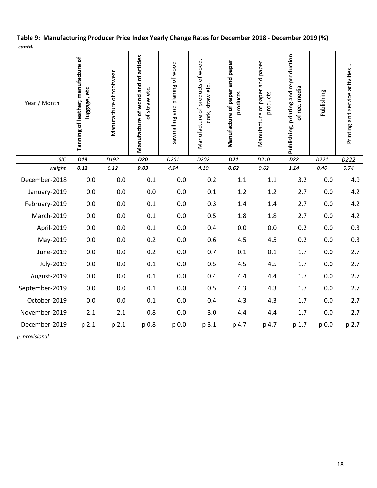| Table 9: Manufacturing Producer Price Index Yearly Change Rates for December 2018 - December 2019 (%) |  |
|-------------------------------------------------------------------------------------------------------|--|
| contd.                                                                                                |  |

| Year / Month   | Tanning of leather; manufacture of<br>luggage, etc | Manufacture of footwear | Manufacture of wood and of articles<br>of straw etc. | Sawmilling and planing of wood | Manufacture of products of wood,<br>cork, straw etc. | Manufacture of paper and paper<br>products | Manufacture of paper and paper<br>products | Publishing, printing and reproduction<br>rec. media<br>Ⴆ | Publishing | $\vdots$<br>Printing and service activities |
|----------------|----------------------------------------------------|-------------------------|------------------------------------------------------|--------------------------------|------------------------------------------------------|--------------------------------------------|--------------------------------------------|----------------------------------------------------------|------------|---------------------------------------------|
| <b>ISIC</b>    | D19                                                | D192                    | D20                                                  | D201                           | D202                                                 | D21                                        | D210                                       | D <sub>22</sub>                                          | D221       | D222                                        |
| weight         | 0.12                                               | 0.12                    | 9.03                                                 | 4.94                           | 4.10                                                 | 0.62                                       | 0.62                                       | 1.14                                                     | 0.40       | 0.74                                        |
| December-2018  | 0.0                                                | 0.0                     | 0.1                                                  | 0.0                            | 0.2                                                  | 1.1                                        | 1.1                                        | 3.2                                                      | 0.0        | 4.9                                         |
| January-2019   | 0.0                                                | 0.0                     | 0.0                                                  | 0.0                            | 0.1                                                  | 1.2                                        | 1.2                                        | 2.7                                                      | 0.0        | 4.2                                         |
| February-2019  | 0.0                                                | 0.0                     | 0.1                                                  | 0.0                            | 0.3                                                  | 1.4                                        | 1.4                                        | 2.7                                                      | 0.0        | 4.2                                         |
| March-2019     | 0.0                                                | $0.0\,$                 | 0.1                                                  | 0.0                            | 0.5                                                  | 1.8                                        | 1.8                                        | 2.7                                                      | 0.0        | 4.2                                         |
| April-2019     | 0.0                                                | 0.0                     | 0.1                                                  | 0.0                            | 0.4                                                  | 0.0                                        | 0.0                                        | 0.2                                                      | 0.0        | 0.3                                         |
| May-2019       | 0.0                                                | $0.0\,$                 | 0.2                                                  | $0.0\,$                        | 0.6                                                  | 4.5                                        | 4.5                                        | 0.2                                                      | 0.0        | 0.3                                         |
| June-2019      | 0.0                                                | 0.0                     | 0.2                                                  | 0.0                            | 0.7                                                  | 0.1                                        | 0.1                                        | 1.7                                                      | 0.0        | 2.7                                         |
| July-2019      | 0.0                                                | 0.0                     | 0.1                                                  | 0.0                            | 0.5                                                  | 4.5                                        | 4.5                                        | 1.7                                                      | 0.0        | 2.7                                         |
| August-2019    | 0.0                                                | 0.0                     | 0.1                                                  | 0.0                            | 0.4                                                  | 4.4                                        | 4.4                                        | 1.7                                                      | 0.0        | 2.7                                         |
| September-2019 | 0.0                                                | 0.0                     | 0.1                                                  | 0.0                            | 0.5                                                  | 4.3                                        | 4.3                                        | 1.7                                                      | 0.0        | 2.7                                         |
| October-2019   | 0.0                                                | 0.0                     | 0.1                                                  | 0.0                            | 0.4                                                  | 4.3                                        | 4.3                                        | 1.7                                                      | 0.0        | 2.7                                         |
| November-2019  | 2.1                                                | 2.1                     | 0.8                                                  | 0.0                            | 3.0                                                  | 4.4                                        | 4.4                                        | 1.7                                                      | 0.0        | 2.7                                         |
| December-2019  | p 2.1                                              | p 2.1                   | p 0.8                                                | p 0.0                          | p 3.1                                                | p 4.7                                      | p 4.7                                      | p 1.7                                                    | p 0.0      | p 2.7                                       |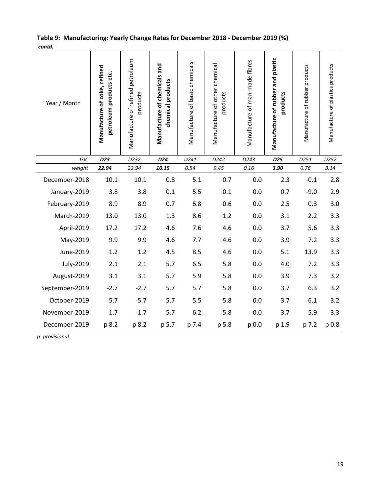|        | Table 9: Manufacturing: Yearly Change Rates for December 2018 - December 2019 (%) |  |
|--------|-----------------------------------------------------------------------------------|--|
| contd. |                                                                                   |  |

| Year / Month   | Manufacture of coke, refined<br>petroleum products etc. | Manufacture of refined petroleum<br>products | Manufacture of chemicals and<br>chemical products | Manufacture of basic chemicals | Manufacture of other chemical<br>products | Manufacture of man-made fibres | Manufacture of rubber and plastic<br>products | Manufacture of rubber products | Manufacture of plastics products |
|----------------|---------------------------------------------------------|----------------------------------------------|---------------------------------------------------|--------------------------------|-------------------------------------------|--------------------------------|-----------------------------------------------|--------------------------------|----------------------------------|
| <b>ISIC</b>    | D23                                                     | D232                                         | D <sub>24</sub>                                   | D241                           | D242                                      | D243                           | D <sub>25</sub>                               | D251                           | D252                             |
| weight         | 22.94                                                   | 22.94                                        | 10.15                                             | 0.54                           | 9.45                                      | 0.16                           | 3.90                                          | 0.76                           | 3.14                             |
| December-2018  | 10.1                                                    | 10.1                                         | 0.8                                               | 5.1                            | 0.7                                       | 0.0                            | 2.3                                           | $-0.1$                         | 2.8                              |
| January-2019   | 3.8                                                     | 3.8                                          | 0.1                                               | 5.5                            | 0.1                                       | 0.0                            | 0.7                                           | $-9.0$                         | 2.9                              |
| February-2019  | 8.9                                                     | 8.9                                          | 0.7                                               | 6.8                            | 0.6                                       | 0.0                            | 2.5                                           | 0.3                            | 3.0                              |
| March-2019     | 13.0                                                    | 13.0                                         | 1.3                                               | 8.6                            | 1.2                                       | 0.0                            | 3.1                                           | 2.2                            | 3.3                              |
| April-2019     | 17.2                                                    | 17.2                                         | 4.6                                               | 7.6                            | 4.6                                       | 0.0                            | 3.7                                           | 5.6                            | 3.3                              |
| May-2019       | 9.9                                                     | 9.9                                          | 4.6                                               | 7.7                            | 4.6                                       | 0.0                            | 3.9                                           | 7.2                            | 3.3                              |
| June-2019      | 1.2                                                     | 1.2                                          | 4.5                                               | 8.5                            | 4.6                                       | 0.0                            | 5.1                                           | 13.9                           | 3.3                              |
| July-2019      | 2.1                                                     | 2.1                                          | 5.7                                               | 6.5                            | 5.8                                       | 0.0                            | 4.0                                           | 7.2                            | 3.3                              |
| August-2019    | 3.1                                                     | 3.1                                          | 5.7                                               | 5.9                            | 5.8                                       | 0.0                            | 3.9                                           | 7.3                            | 3.2                              |
| September-2019 | $-2.7$                                                  | $-2.7$                                       | 5.7                                               | 5.7                            | 5.8                                       | 0.0                            | 3.7                                           | 6.3                            | 3.2                              |
| October-2019   | $-5.7$                                                  | $-5.7$                                       | 5.7                                               | 5.5                            | 5.8                                       | 0.0                            | 3.7                                           | 6.1                            | 3.2                              |
| November-2019  | $-1.7$                                                  | $-1.7$                                       | 5.7                                               | 6.2                            | 5.8                                       | 0.0                            | 3.7                                           | 5.9                            | 3.3                              |
| December-2019  | p 8.2                                                   | p 8.2                                        | p 5.7                                             | p 7.4                          | p 5.8                                     | p 0.0                          | p 1.9                                         | p 7.2                          | p 0.8                            |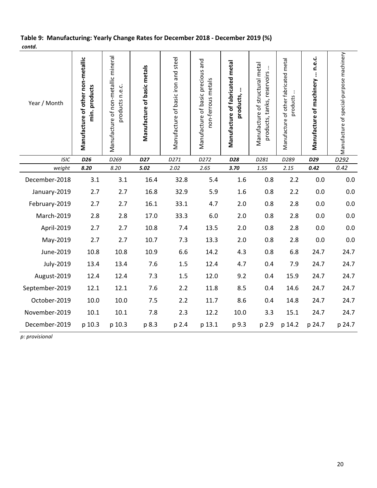## Table 9: Manufacturing: Yearly Change Rates for December 2018 - December 2019 (%) contd.

| Year / Month   | Manufacture of other non-metallic<br>min. products | Manufacture of non-metallic mineral<br>products n.e.c. | Manufacture of basic metals | Manufacture of basic iron and steel | Manufacture of basic precious and<br>non-ferrous metals | Manufacture of fabricated metal<br>products, | Manufacture of structural metal<br>$\vdots$<br>products, tanks, reservoirs | Manufacture of other fabricated metal<br>products | Manufacture of machinery  n.e.c. | Manufacture of special-purpose machinery |
|----------------|----------------------------------------------------|--------------------------------------------------------|-----------------------------|-------------------------------------|---------------------------------------------------------|----------------------------------------------|----------------------------------------------------------------------------|---------------------------------------------------|----------------------------------|------------------------------------------|
| <b>ISIC</b>    | D <sub>26</sub>                                    | D269                                                   | D <sub>27</sub>             | D271                                | D272                                                    | D28                                          | D281                                                                       | D289                                              | D29                              | D292                                     |
| weight         | 8.20                                               | 8.20                                                   | 5.02                        | 2.02                                | 2.65                                                    | 3.70                                         | 1.55                                                                       | 2.15                                              | 0.42                             | 0.42                                     |
| December-2018  | 3.1                                                | 3.1                                                    | 16.4                        | 32.8                                | 5.4                                                     | 1.6                                          | 0.8                                                                        | 2.2                                               | 0.0                              | 0.0                                      |
| January-2019   | 2.7                                                | 2.7                                                    | 16.8                        | 32.9                                | 5.9                                                     | 1.6                                          | 0.8                                                                        | 2.2                                               | 0.0                              | 0.0                                      |
| February-2019  | 2.7                                                | 2.7                                                    | 16.1                        | 33.1                                | 4.7                                                     | 2.0                                          | 0.8                                                                        | 2.8                                               | 0.0                              | 0.0                                      |
| March-2019     | 2.8                                                | 2.8                                                    | 17.0                        | 33.3                                | 6.0                                                     | 2.0                                          | 0.8                                                                        | 2.8                                               | 0.0                              | 0.0                                      |
| April-2019     | 2.7                                                | 2.7                                                    | 10.8                        | 7.4                                 | 13.5                                                    | 2.0                                          | 0.8                                                                        | 2.8                                               | 0.0                              | 0.0                                      |
| May-2019       | 2.7                                                | 2.7                                                    | 10.7                        | 7.3                                 | 13.3                                                    | 2.0                                          | 0.8                                                                        | 2.8                                               | 0.0                              | 0.0                                      |
| June-2019      | 10.8                                               | 10.8                                                   | 10.9                        | 6.6                                 | 14.2                                                    | 4.3                                          | 0.8                                                                        | 6.8                                               | 24.7                             | 24.7                                     |
| July-2019      | 13.4                                               | 13.4                                                   | 7.6                         | 1.5                                 | 12.4                                                    | 4.7                                          | 0.4                                                                        | 7.9                                               | 24.7                             | 24.7                                     |
| August-2019    | 12.4                                               | 12.4                                                   | 7.3                         | 1.5                                 | 12.0                                                    | 9.2                                          | 0.4                                                                        | 15.9                                              | 24.7                             | 24.7                                     |
| September-2019 | 12.1                                               | 12.1                                                   | 7.6                         | 2.2                                 | 11.8                                                    | 8.5                                          | 0.4                                                                        | 14.6                                              | 24.7                             | 24.7                                     |
| October-2019   | 10.0                                               | 10.0                                                   | 7.5                         | 2.2                                 | 11.7                                                    | 8.6                                          | 0.4                                                                        | 14.8                                              | 24.7                             | 24.7                                     |
| November-2019  | $10.1\,$                                           | 10.1                                                   | 7.8                         | 2.3                                 | 12.2                                                    | 10.0                                         | 3.3                                                                        | 15.1                                              | 24.7                             | 24.7                                     |
| December-2019  | p 10.3                                             | p 10.3                                                 | p 8.3                       | p 2.4                               | p 13.1                                                  | p 9.3                                        | p 2.9                                                                      | p 14.2                                            | p 24.7                           | p 24.7                                   |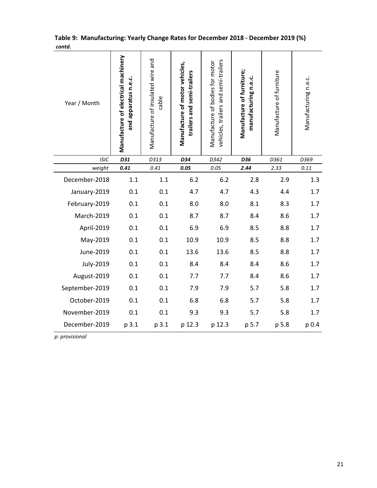| Year / Month   | Manufacture of electrical machinery<br>and apparatus n.e.c. | Manufacture of insulated wire and<br>cable | Manufacture of motor vehicles,<br>trailers and semi-trailers | vehicles, trailers and semi-trailers<br>Manufacture of bodies for motor | Manufacture of furniture;<br>manufacturing n.e.c. | Manufacture of furniture | Manufacturing n.e.c. |
|----------------|-------------------------------------------------------------|--------------------------------------------|--------------------------------------------------------------|-------------------------------------------------------------------------|---------------------------------------------------|--------------------------|----------------------|
| <b>ISIC</b>    | D31                                                         | D313                                       | D34                                                          | D342                                                                    | D36                                               | D361                     | D369                 |
| weight         | 0.41                                                        | 0.41                                       | 0.05                                                         | 0.05                                                                    | 2.44                                              | 2.33                     | 0.11                 |
| December-2018  | 1.1                                                         | 1.1                                        | 6.2                                                          | 6.2                                                                     | 2.8                                               | 2.9                      | 1.3                  |
| January-2019   | 0.1                                                         | 0.1                                        | 4.7                                                          | 4.7                                                                     | 4.3                                               | 4.4                      | 1.7                  |
| February-2019  | 0.1                                                         | 0.1                                        | 8.0                                                          | 8.0                                                                     | 8.1                                               | 8.3                      | 1.7                  |
| March-2019     | 0.1                                                         | 0.1                                        | 8.7                                                          | 8.7                                                                     | 8.4                                               | 8.6                      | 1.7                  |
| April-2019     | 0.1                                                         | 0.1                                        | 6.9                                                          | 6.9                                                                     | 8.5                                               | 8.8                      | 1.7                  |
| May-2019       | 0.1                                                         | 0.1                                        | 10.9                                                         | 10.9                                                                    | 8.5                                               | 8.8                      | 1.7                  |
| June-2019      | 0.1                                                         | 0.1                                        | 13.6                                                         | 13.6                                                                    | 8.5                                               | 8.8                      | 1.7                  |
| July-2019      | 0.1                                                         | 0.1                                        | 8.4                                                          | 8.4                                                                     | 8.4                                               | 8.6                      | 1.7                  |
| August-2019    | 0.1                                                         | 0.1                                        | 7.7                                                          | 7.7                                                                     | 8.4                                               | 8.6                      | 1.7                  |
| September-2019 | 0.1                                                         | 0.1                                        | 7.9                                                          | 7.9                                                                     | 5.7                                               | 5.8                      | 1.7                  |
| October-2019   | 0.1                                                         | 0.1                                        | 6.8                                                          | 6.8                                                                     | 5.7                                               | 5.8                      | 1.7                  |
| November-2019  | 0.1                                                         | 0.1                                        | 9.3                                                          | 9.3                                                                     | 5.7                                               | 5.8                      | 1.7                  |
| December-2019  | p 3.1                                                       | p 3.1                                      | p 12.3                                                       | p 12.3                                                                  | p 5.7                                             | p 5.8                    | p 0.4                |

#### Table 9: Manufacturing: Yearly Change Rates for December 2018 - December 2019 (%) contd.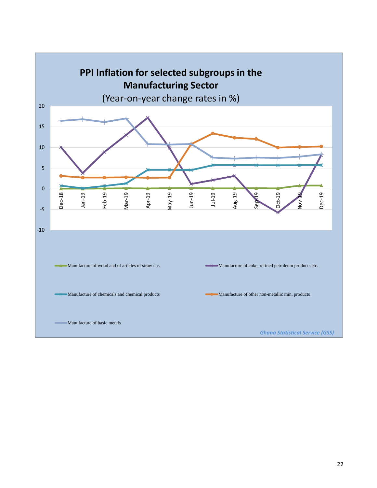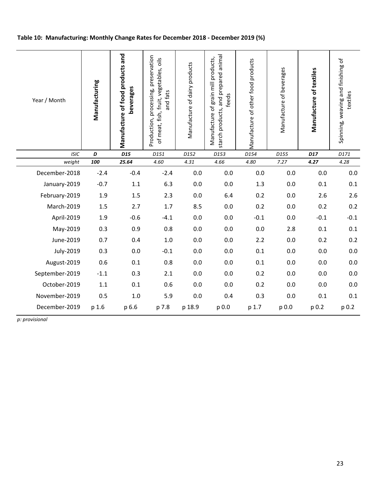#### Table 10: Manufacturing: Monthly Change Rates for December 2018 - December 2019 (%)

| Year / Month   | Manufacturing | Manufacture of food products and<br>beverages | Production, processing, preservation<br>of meat, fish, fruit, vegetables, oils<br>and fats | Manufacture of dairy products | starch products, and prepared animal<br>grain mill products,<br>feeds<br>Manufacture of | Manufacture of other food products | Manufacture of beverages | Manufacture of textiles | Spinning, weaving and finishing of<br>textiles |
|----------------|---------------|-----------------------------------------------|--------------------------------------------------------------------------------------------|-------------------------------|-----------------------------------------------------------------------------------------|------------------------------------|--------------------------|-------------------------|------------------------------------------------|
| <b>ISIC</b>    | D             | D <sub>15</sub>                               | D151                                                                                       | D152                          | D153                                                                                    | D154                               | D155                     | D17                     | D171                                           |
| weight         | 100           | 25.64                                         | 4.60                                                                                       | 4.31                          | 4.66                                                                                    | 4.80                               | 7.27                     | 4.27                    | 4.28                                           |
| December-2018  | $-2.4$        | $-0.4$                                        | $-2.4$                                                                                     | 0.0                           | 0.0                                                                                     | 0.0                                | 0.0                      | 0.0                     | 0.0                                            |
| January-2019   | $-0.7$        | $1.1\,$                                       | 6.3                                                                                        | 0.0                           | 0.0                                                                                     | 1.3                                | 0.0                      | 0.1                     | 0.1                                            |
| February-2019  | 1.9           | 1.5                                           | 2.3                                                                                        | 0.0                           | 6.4                                                                                     | 0.2                                | 0.0                      | 2.6                     | 2.6                                            |
| March-2019     | 1.5           | 2.7                                           | 1.7                                                                                        | 8.5                           | 0.0                                                                                     | 0.2                                | 0.0                      | 0.2                     | 0.2                                            |
| April-2019     | 1.9           | $-0.6$                                        | $-4.1$                                                                                     | 0.0                           | 0.0                                                                                     | $-0.1$                             | 0.0                      | $-0.1$                  | $-0.1$                                         |
| May-2019       | 0.3           | 0.9                                           | 0.8                                                                                        | 0.0                           | 0.0                                                                                     | 0.0                                | 2.8                      | 0.1                     | 0.1                                            |
| June-2019      | 0.7           | 0.4                                           | 1.0                                                                                        | 0.0                           | 0.0                                                                                     | 2.2                                | 0.0                      | 0.2                     | 0.2                                            |
| July-2019      | 0.3           | 0.0                                           | $-0.1$                                                                                     | 0.0                           | 0.0                                                                                     | 0.1                                | 0.0                      | 0.0                     | 0.0                                            |
| August-2019    | 0.6           | 0.1                                           | 0.8                                                                                        | 0.0                           | 0.0                                                                                     | 0.1                                | 0.0                      | 0.0                     | 0.0                                            |
| September-2019 | $-1.1$        | 0.3                                           | 2.1                                                                                        | 0.0                           | 0.0                                                                                     | 0.2                                | 0.0                      | 0.0                     | 0.0                                            |
| October-2019   | 1.1           | 0.1                                           | 0.6                                                                                        | 0.0                           | 0.0                                                                                     | 0.2                                | 0.0                      | 0.0                     | 0.0                                            |
| November-2019  | 0.5           | 1.0                                           | 5.9                                                                                        | 0.0                           | 0.4                                                                                     | 0.3                                | 0.0                      | 0.1                     | 0.1                                            |
| December-2019  | p 1.6         | p 6.6                                         | p 7.8                                                                                      | p 18.9                        | p 0.0                                                                                   | p 1.7                              | p 0.0                    | p 0.2                   | p 0.2                                          |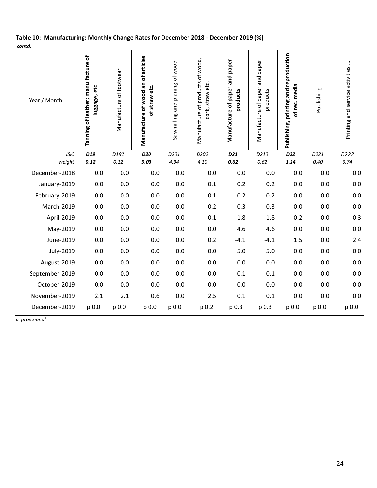#### Table 10: Manufacturing: Monthly Change Rates for December 2018 - December 2019 (%) contd.

| Year / Month   | Tanning of leather; manu facture of<br>luggage, etc | Manufacture of footwear | Manufacture of wood an of articles<br>of straw etc. | Sawmilling and planing of wood | Manufacture of products of wood,<br>cork, straw etc. | Manufacture of paper and paper<br>products | Manufacture of paper and paper<br>products | Publishing, printing and reproduction<br>of rec. media | Publishing | Printing and service activities |
|----------------|-----------------------------------------------------|-------------------------|-----------------------------------------------------|--------------------------------|------------------------------------------------------|--------------------------------------------|--------------------------------------------|--------------------------------------------------------|------------|---------------------------------|
| <b>ISIC</b>    | D19                                                 | D192                    | D <sub>20</sub>                                     | D201                           | D202                                                 | D21                                        | D210                                       | D22                                                    | D221       | D222                            |
| weight         | 0.12                                                | 0.12                    | 9.03                                                | 4.94                           | 4.10                                                 | 0.62                                       | 0.62                                       | 1.14                                                   | 0.40       | 0.74                            |
| December-2018  | 0.0                                                 | 0.0                     | 0.0                                                 | 0.0                            | 0.0                                                  | 0.0                                        | 0.0                                        | 0.0                                                    | 0.0        | 0.0                             |
| January-2019   | 0.0                                                 | 0.0                     | 0.0                                                 | 0.0                            | 0.1                                                  | 0.2                                        | 0.2                                        | 0.0                                                    | 0.0        | 0.0                             |
| February-2019  | 0.0                                                 | 0.0                     | 0.0                                                 | 0.0                            | 0.1                                                  | 0.2                                        | 0.2                                        | 0.0                                                    | 0.0        | 0.0                             |
| March-2019     | 0.0                                                 | 0.0                     | 0.0                                                 | 0.0                            | 0.2                                                  | 0.3                                        | 0.3                                        | 0.0                                                    | 0.0        | 0.0                             |
| April-2019     | 0.0                                                 | 0.0                     | 0.0                                                 | 0.0                            | $-0.1$                                               | $-1.8$                                     | $-1.8$                                     | 0.2                                                    | 0.0        | 0.3                             |
| May-2019       | 0.0                                                 | 0.0                     | 0.0                                                 | 0.0                            | 0.0                                                  | 4.6                                        | 4.6                                        | 0.0                                                    | 0.0        | 0.0                             |
| June-2019      | 0.0                                                 | 0.0                     | 0.0                                                 | 0.0                            | 0.2                                                  | $-4.1$                                     | $-4.1$                                     | 1.5                                                    | 0.0        | 2.4                             |
| July-2019      | 0.0                                                 | 0.0                     | 0.0                                                 | 0.0                            | 0.0                                                  | 5.0                                        | 5.0                                        | 0.0                                                    | 0.0        | 0.0                             |
| August-2019    | 0.0                                                 | 0.0                     | 0.0                                                 | 0.0                            | 0.0                                                  | 0.0                                        | 0.0                                        | 0.0                                                    | 0.0        | 0.0                             |
| September-2019 | 0.0                                                 | 0.0                     | 0.0                                                 | 0.0                            | 0.0                                                  | 0.1                                        | 0.1                                        | 0.0                                                    | 0.0        | 0.0                             |
| October-2019   | 0.0                                                 | 0.0                     | 0.0                                                 | 0.0                            | 0.0                                                  | 0.0                                        | 0.0                                        | 0.0                                                    | 0.0        | 0.0                             |
| November-2019  | 2.1                                                 | 2.1                     | 0.6                                                 | 0.0                            | 2.5                                                  | 0.1                                        | 0.1                                        | 0.0                                                    | 0.0        | 0.0                             |
| December-2019  | p 0.0                                               | p 0.0                   | p 0.0                                               | p 0.0                          | p 0.2                                                | p 0.3                                      | p 0.3                                      | p 0.0                                                  | p 0.0      | p 0.0                           |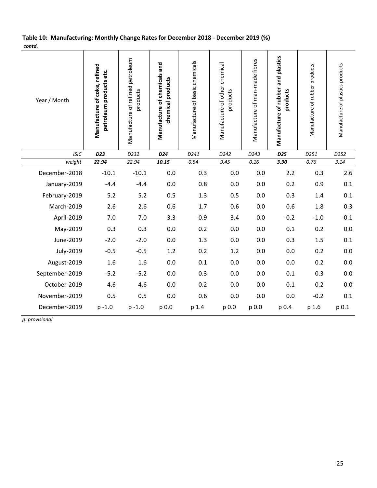#### Table 10: Manufacturing: Monthly Change Rates for December 2018 - December 2019 (%) contd.

| Year / Month   | Manufacture of coke, refined<br>petroleum products etc. | Manufacture of refined petroleum<br>products | Manufacture of chemicals and<br>chemical products | Manufacture of basic chemicals | Manufacture of other chemical<br>products | Manufacture of man-made fibres | Manufacture of rubber and plastics<br>products | Manufacture of rubber products | Manufacture of plastics products |
|----------------|---------------------------------------------------------|----------------------------------------------|---------------------------------------------------|--------------------------------|-------------------------------------------|--------------------------------|------------------------------------------------|--------------------------------|----------------------------------|
| <b>ISIC</b>    | D23                                                     | D232                                         | D24                                               | D241                           | D242                                      | D243                           | D25                                            | D251                           | D252                             |
| weight         | 22.94                                                   | 22.94                                        | 10.15                                             | 0.54                           | 9.45                                      | 0.16                           | 3.90                                           | 0.76                           | 3.14                             |
| December-2018  | $-10.1$                                                 | $-10.1$                                      | 0.0                                               | 0.3                            | 0.0                                       | 0.0                            | 2.2                                            | 0.3                            | 2.6                              |
| January-2019   | $-4.4$                                                  | $-4.4$                                       | 0.0                                               | 0.8                            | 0.0                                       | 0.0                            | 0.2                                            | 0.9                            | 0.1                              |
| February-2019  | 5.2                                                     | 5.2                                          | 0.5                                               | 1.3                            | 0.5                                       | 0.0                            | 0.3                                            | 1.4                            | 0.1                              |
| March-2019     | 2.6                                                     | 2.6                                          | 0.6                                               | 1.7                            | 0.6                                       | 0.0                            | 0.6                                            | 1.8                            | 0.3                              |
| April-2019     | 7.0                                                     | 7.0                                          | 3.3                                               | $-0.9$                         | 3.4                                       | 0.0                            | $-0.2$                                         | $-1.0$                         | $-0.1$                           |
| May-2019       | 0.3                                                     | 0.3                                          | 0.0                                               | 0.2                            | 0.0                                       | 0.0                            | 0.1                                            | 0.2                            | 0.0                              |
| June-2019      | $-2.0$                                                  | $-2.0$                                       | 0.0                                               | 1.3                            | 0.0                                       | 0.0                            | 0.3                                            | 1.5                            | 0.1                              |
| July-2019      | $-0.5$                                                  | $-0.5$                                       | 1.2                                               | 0.2                            | 1.2                                       | 0.0                            | 0.0                                            | 0.2                            | 0.0                              |
| August-2019    | 1.6                                                     | 1.6                                          | 0.0                                               | 0.1                            | 0.0                                       | 0.0                            | 0.0                                            | 0.2                            | 0.0                              |
| September-2019 | $-5.2$                                                  | $-5.2$                                       | 0.0                                               | 0.3                            | 0.0                                       | 0.0                            | 0.1                                            | 0.3                            | 0.0                              |
| October-2019   | 4.6                                                     | 4.6                                          | 0.0                                               | 0.2                            | 0.0                                       | 0.0                            | 0.1                                            | 0.2                            | 0.0                              |
| November-2019  | 0.5                                                     | 0.5                                          | 0.0                                               | 0.6                            | 0.0                                       | 0.0                            | 0.0                                            | $-0.2$                         | 0.1                              |
| December-2019  | $p - 1.0$                                               | $p - 1.0$                                    | p 0.0                                             | p 1.4                          | p 0.0                                     | p 0.0                          | p 0.4                                          | p 1.6                          | p 0.1                            |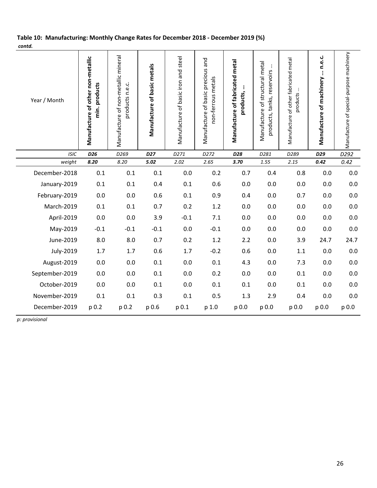### Table 10: Manufacturing: Monthly Change Rates for December 2018 - December 2019 (%) contd.

| Year / Month          | Manufacture of other non-metallic<br>min. products | Manufacture of non-metallic mineral<br>products n.e.c. | Manufacture of basic metals | Manufacture of basic iron and steel | Manufacture of basic precious and<br>non-ferrous metals | Manufacture of fabricated metal<br>products, | Manufacture of structural metal<br>products, tanks, reservoirs | Manufacture of other fabricated metal<br>products | Manufacture of machinery  n.e.c. | Manufacture of special-purpose machinery |
|-----------------------|----------------------------------------------------|--------------------------------------------------------|-----------------------------|-------------------------------------|---------------------------------------------------------|----------------------------------------------|----------------------------------------------------------------|---------------------------------------------------|----------------------------------|------------------------------------------|
| <b>ISIC</b><br>weight | D <sub>26</sub><br>8.20                            | D269<br>8.20                                           | D <sub>27</sub><br>5.02     | D271<br>2.02                        | D272<br>2.65                                            | D28<br>3.70                                  | D281<br>1.55                                                   | D289<br>2.15                                      | D29<br>0.42                      | D292<br>0.42                             |
| December-2018         | 0.1                                                | 0.1                                                    | 0.1                         | 0.0                                 | 0.2                                                     | 0.7                                          | 0.4                                                            | 0.8                                               | 0.0                              | 0.0                                      |
|                       |                                                    |                                                        |                             |                                     |                                                         |                                              |                                                                |                                                   |                                  |                                          |
| January-2019          | 0.1                                                | 0.1                                                    | 0.4                         | 0.1                                 | 0.6                                                     | 0.0                                          | 0.0                                                            | 0.0                                               | 0.0                              | 0.0                                      |
| February-2019         | 0.0                                                | 0.0                                                    | 0.6                         | 0.1                                 | 0.9                                                     | 0.4                                          | 0.0                                                            | 0.7                                               | 0.0                              | 0.0                                      |
| March-2019            | 0.1                                                | 0.1                                                    | 0.7                         | 0.2                                 | 1.2                                                     | 0.0                                          | 0.0                                                            | 0.0                                               | 0.0                              | 0.0                                      |
| April-2019            | 0.0                                                | 0.0                                                    | 3.9                         | $-0.1$                              | 7.1                                                     | 0.0                                          | 0.0                                                            | 0.0                                               | 0.0                              | 0.0                                      |
| May-2019              | $-0.1$                                             | $-0.1$                                                 | $-0.1$                      | 0.0                                 | $-0.1$                                                  | 0.0                                          | 0.0                                                            | 0.0                                               | 0.0                              | 0.0                                      |
| June-2019             | 8.0                                                | 8.0                                                    | 0.7                         | 0.2                                 | 1.2                                                     | 2.2                                          | 0.0                                                            | 3.9                                               | 24.7                             | 24.7                                     |
| July-2019             | 1.7                                                | 1.7                                                    | 0.6                         | 1.7                                 | $-0.2$                                                  | 0.6                                          | 0.0                                                            | 1.1                                               | 0.0                              | 0.0                                      |
| August-2019           | 0.0                                                | 0.0                                                    | 0.1                         | 0.0                                 | 0.1                                                     | 4.3                                          | 0.0                                                            | 7.3                                               | 0.0                              | 0.0                                      |
| September-2019        | 0.0                                                | 0.0                                                    | 0.1                         | 0.0                                 | 0.2                                                     | 0.0                                          | 0.0                                                            | 0.1                                               | 0.0                              | 0.0                                      |
| October-2019          | 0.0                                                | 0.0                                                    | 0.1                         | 0.0                                 | 0.1                                                     | 0.1                                          | 0.0                                                            | 0.1                                               | 0.0                              | 0.0                                      |
| November-2019         | 0.1                                                | 0.1                                                    | 0.3                         | 0.1                                 | 0.5                                                     | 1.3                                          | 2.9                                                            | 0.4                                               | 0.0                              | 0.0                                      |
| December-2019         | p 0.2                                              | p 0.2                                                  | p 0.6                       | p 0.1                               | p 1.0                                                   | p 0.0                                        | p 0.0                                                          | p 0.0                                             | p 0.0                            | p 0.0                                    |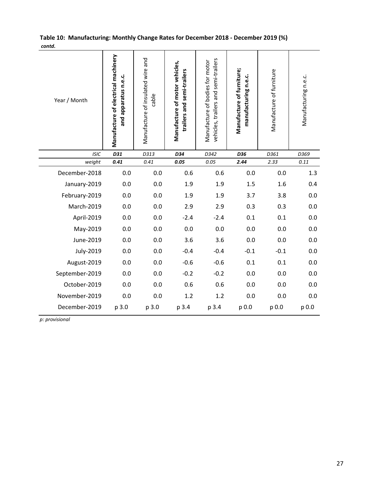|        | Table 10: Manufacturing: Monthly Change Rates for December 2018 - December 2019 (%) |  |
|--------|-------------------------------------------------------------------------------------|--|
| contd. |                                                                                     |  |

| concu.         |                                                             |                                            |                                                              |                                                                         |                                                   |                          |                      |
|----------------|-------------------------------------------------------------|--------------------------------------------|--------------------------------------------------------------|-------------------------------------------------------------------------|---------------------------------------------------|--------------------------|----------------------|
| Year / Month   | Manufacture of electrical machinery<br>and apparatus n.e.c. | Manufacture of insulated wire and<br>cable | Manufacture of motor vehicles,<br>trailers and semi-trailers | vehicles, trailers and semi-trailers<br>Manufacture of bodies for motor | Manufacture of furniture;<br>manufacturing n.e.c. | Manufacture of furniture | Manufacturing n.e.c. |
| <b>ISIC</b>    | D31                                                         | D313                                       | D34                                                          | D342                                                                    | D36                                               | D361                     | D369                 |
| weight         | 0.41                                                        | 0.41                                       | 0.05                                                         | 0.05                                                                    | 2.44                                              | 2.33                     | $0.11\,$             |
| December-2018  | 0.0                                                         | 0.0                                        | 0.6                                                          | 0.6                                                                     | 0.0                                               | 0.0                      | 1.3                  |
| January-2019   | 0.0                                                         | 0.0                                        | 1.9                                                          | 1.9                                                                     | 1.5                                               | 1.6                      | 0.4                  |
| February-2019  | 0.0                                                         | 0.0                                        | 1.9                                                          | 1.9                                                                     | 3.7                                               | 3.8                      | 0.0                  |
| March-2019     | 0.0                                                         | 0.0                                        | 2.9                                                          | 2.9                                                                     | 0.3                                               | 0.3                      | 0.0                  |
| April-2019     | 0.0                                                         | 0.0                                        | $-2.4$                                                       | $-2.4$                                                                  | 0.1                                               | 0.1                      | 0.0                  |
| May-2019       | 0.0                                                         | 0.0                                        | 0.0                                                          | 0.0                                                                     | 0.0                                               | 0.0                      | 0.0                  |
| June-2019      | 0.0                                                         | 0.0                                        | 3.6                                                          | 3.6                                                                     | 0.0                                               | 0.0                      | 0.0                  |
| July-2019      | 0.0                                                         | 0.0                                        | $-0.4$                                                       | $-0.4$                                                                  | $-0.1$                                            | $-0.1$                   | 0.0                  |
| August-2019    | 0.0                                                         | 0.0                                        | $-0.6$                                                       | $-0.6$                                                                  | 0.1                                               | 0.1                      | 0.0                  |
| September-2019 | 0.0                                                         | 0.0                                        | $-0.2$                                                       | $-0.2$                                                                  | 0.0                                               | 0.0                      | 0.0                  |
| October-2019   | 0.0                                                         | 0.0                                        | 0.6                                                          | 0.6                                                                     | 0.0                                               | 0.0                      | 0.0                  |
| November-2019  | 0.0                                                         | 0.0                                        | 1.2                                                          | 1.2                                                                     | 0.0                                               | 0.0                      | 0.0                  |
| December-2019  | p 3.0                                                       | p 3.0                                      | p 3.4                                                        | p 3.4                                                                   | p 0.0                                             | p 0.0                    | p 0.0                |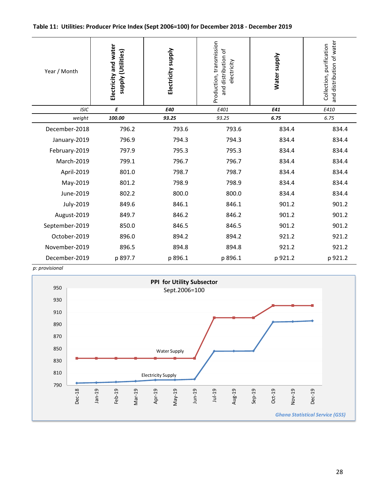#### Table 11: Utilities: Producer Price Index (Sept 2006=100) for December 2018 - December 2019

| Year / Month   | Electricity and water<br>supply (Utilities) | Electricity supply | Production, transmission<br>and distribution of<br>electricity | Water supply | and distribution of water<br>Collection, purification |
|----------------|---------------------------------------------|--------------------|----------------------------------------------------------------|--------------|-------------------------------------------------------|
| <b>ISIC</b>    | E                                           | E40                | E401                                                           | E41          | E410                                                  |
| weight         | 100.00                                      | 93.25              | 93.25                                                          | 6.75         | 6.75                                                  |
| December-2018  | 796.2                                       | 793.6              | 793.6                                                          | 834.4        | 834.4                                                 |
| January-2019   | 796.9                                       | 794.3              | 794.3                                                          | 834.4        | 834.4                                                 |
| February-2019  | 797.9                                       | 795.3              | 795.3                                                          | 834.4        | 834.4                                                 |
| March-2019     | 799.1                                       | 796.7              | 796.7                                                          | 834.4        | 834.4                                                 |
| April-2019     | 801.0                                       | 798.7              | 798.7                                                          | 834.4        | 834.4                                                 |
| May-2019       | 801.2                                       | 798.9              | 798.9                                                          | 834.4        | 834.4                                                 |
| June-2019      | 802.2                                       | 800.0              | 800.0                                                          | 834.4        | 834.4                                                 |
| July-2019      | 849.6                                       | 846.1              | 846.1                                                          | 901.2        | 901.2                                                 |
| August-2019    | 849.7                                       | 846.2              | 846.2                                                          | 901.2        | 901.2                                                 |
| September-2019 | 850.0                                       | 846.5              | 846.5                                                          | 901.2        | 901.2                                                 |
| October-2019   | 896.0                                       | 894.2              | 894.2                                                          | 921.2        | 921.2                                                 |
| November-2019  | 896.5                                       | 894.8              | 894.8                                                          | 921.2        | 921.2                                                 |
| December-2019  | p 897.7                                     | p 896.1            | p 896.1                                                        | p 921.2      | p 921.2                                               |

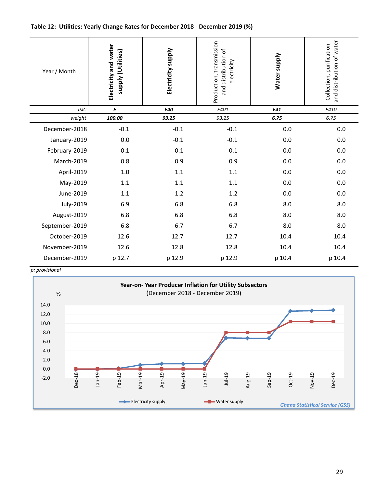#### Table 12: Utilities: Yearly Change Rates for December 2018 - December 2019 (%)

| Year / Month   | Electricity and water<br>supply (Utilities) | Electricity supply | Production, transmission<br>and distribution of<br>electricity | Water supply | and distribution of water<br>Collection, purification |
|----------------|---------------------------------------------|--------------------|----------------------------------------------------------------|--------------|-------------------------------------------------------|
| <b>ISIC</b>    | E                                           | E40                | E401                                                           | E41          | E410                                                  |
| weight         | 100.00                                      | 93.25              | 93.25                                                          | 6.75         | 6.75                                                  |
| December-2018  | $-0.1$                                      | $-0.1$             | $-0.1$                                                         | 0.0          | 0.0                                                   |
| January-2019   | 0.0                                         | $-0.1$             | $-0.1$                                                         | 0.0          | 0.0                                                   |
| February-2019  | 0.1                                         | 0.1                | 0.1                                                            | 0.0          | 0.0                                                   |
| March-2019     | 0.8                                         | 0.9                | 0.9                                                            | 0.0          | 0.0                                                   |
| April-2019     | 1.0                                         | 1.1                | 1.1                                                            | 0.0          | 0.0                                                   |
| May-2019       | 1.1                                         | 1.1                | 1.1                                                            | 0.0          | 0.0                                                   |
| June-2019      | 1.1                                         | 1.2                | 1.2                                                            | 0.0          | 0.0                                                   |
| July-2019      | 6.9                                         | 6.8                | 6.8                                                            | 8.0          | 8.0                                                   |
| August-2019    | 6.8                                         | 6.8                | 6.8                                                            | 8.0          | 8.0                                                   |
| September-2019 | 6.8                                         | 6.7                | 6.7                                                            | 8.0          | 8.0                                                   |
| October-2019   | 12.6                                        | 12.7               | 12.7                                                           | 10.4         | 10.4                                                  |
| November-2019  | 12.6                                        | 12.8               | 12.8                                                           | 10.4         | 10.4                                                  |
| December-2019  | p 12.7                                      | p 12.9             | p 12.9                                                         | p 10.4       | p 10.4                                                |